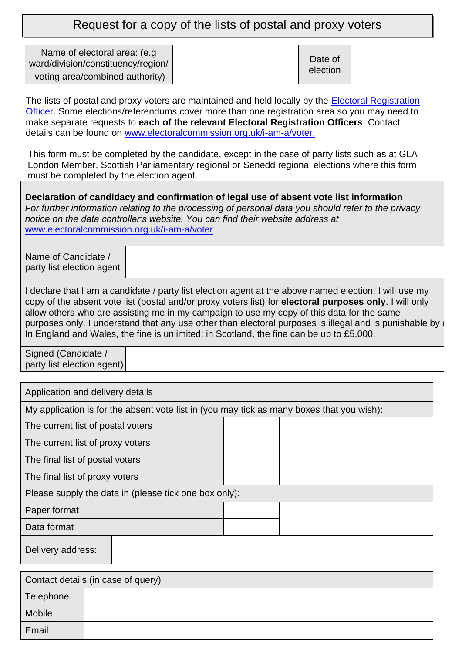Request for a copy of the lists of postal and proxy voters

| Name of electoral area: (e.g.<br>ward/division/constituency/region/ |  | Date of<br>election |  |
|---------------------------------------------------------------------|--|---------------------|--|
| voting area/combined authority)                                     |  |                     |  |

The lists of postal and proxy voters are maintained and held locally by the Electoral Registration [Officer.](http://www.electoralcommission.org.uk/i-am-a/voter) Some elections/referendums cover more than one registration area so you may need to make separate requests to **each of the relevant Electoral Registration Officers**. Contact details can be found on [www.electoralcommission.org.uk/i-am-a/voter.](https://www.electoralcommission.org.uk/i-am-a/voter)

This form must be completed by the candidate, except in the case of party lists such as at GLA London Member, Scottish Parliamentary regional or Senedd regional elections where this form must be completed by the election agent.

**Declaration of candidacy and confirmation of legal use of absent vote list information** *For further information relating to the processing of personal data you should refer to the privacy notice on the data controller's website. You can find their website address at*  [www.electoralcommission.org.uk/i-am-a/voter](https://www.electoralcommission.org.uk/i-am-a/voter)

Name of Candidate / party list election agent

I declare that I am a candidate / party list election agent at the above named election. I will use my copy of the absent vote list (postal and/or proxy voters list) for **electoral purposes only**. I will only allow others who are assisting me in my campaign to use my copy of this data for the same purposes only. I understand that any use other than electoral purposes is illegal and is punishable by a In England and Wales, the fine is unlimited; in Scotland, the fine can be up to £5,000.

Signed (Candidate / party list election agent)

| Application and delivery details                                                          |  |  |  |
|-------------------------------------------------------------------------------------------|--|--|--|
| My application is for the absent vote list in (you may tick as many boxes that you wish): |  |  |  |
| The current list of postal voters                                                         |  |  |  |
| The current list of proxy voters                                                          |  |  |  |
| The final list of postal voters                                                           |  |  |  |
| The final list of proxy voters                                                            |  |  |  |
| Please supply the data in (please tick one box only):                                     |  |  |  |
| Paper format                                                                              |  |  |  |
| Data format                                                                               |  |  |  |
| Delivery address:                                                                         |  |  |  |
|                                                                                           |  |  |  |

| Contact details (in case of query) |  |  |
|------------------------------------|--|--|
| Telephone                          |  |  |
| Mobile                             |  |  |
| Email                              |  |  |